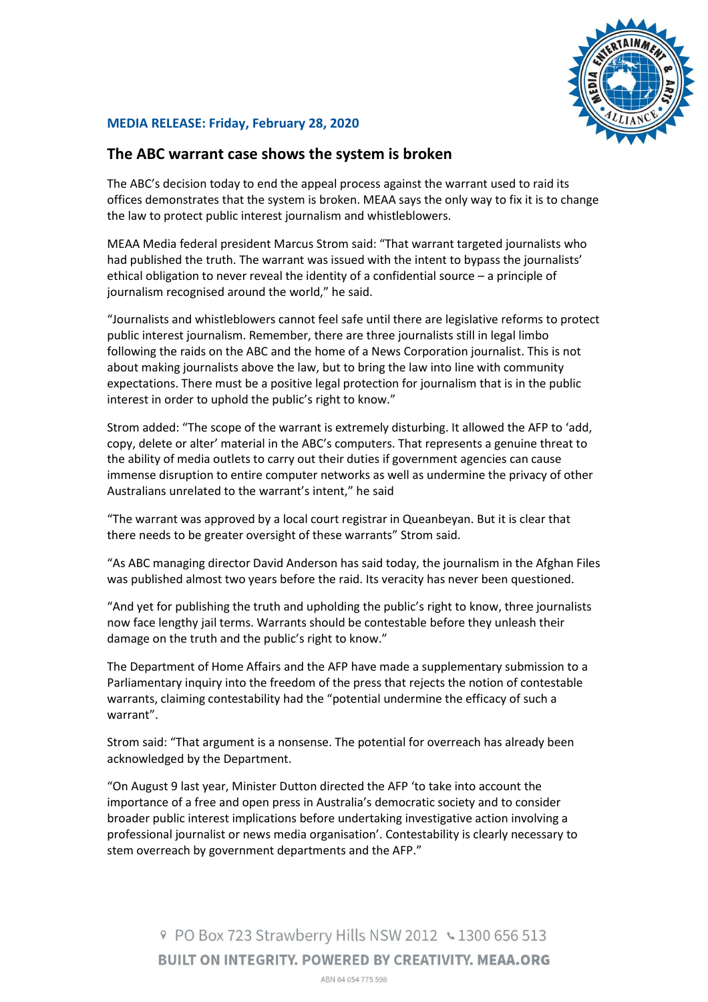

## **MEDIA RELEASE: Friday, February 28, 2020**

## **The ABC warrant case shows the system is broken**

The ABC's decision today to end the appeal process against the warrant used to raid its offices demonstrates that the system is broken. MEAA says the only way to fix it is to change the law to protect public interest journalism and whistleblowers.

MEAA Media federal president Marcus Strom said: "That warrant targeted journalists who had published the truth. The warrant was issued with the intent to bypass the journalists' ethical obligation to never reveal the identity of a confidential source – a principle of journalism recognised around the world," he said.

"Journalists and whistleblowers cannot feel safe until there are legislative reforms to protect public interest journalism. Remember, there are three journalists still in legal limbo following the raids on the ABC and the home of a News Corporation journalist. This is not about making journalists above the law, but to bring the law into line with community expectations. There must be a positive legal protection for journalism that is in the public interest in order to uphold the public's right to know."

Strom added: "The scope of the warrant is extremely disturbing. It allowed the AFP to 'add, copy, delete or alter' material in the ABC's computers. That represents a genuine threat to the ability of media outlets to carry out their duties if government agencies can cause immense disruption to entire computer networks as well as undermine the privacy of other Australians unrelated to the warrant's intent," he said

"The warrant was approved by a local court registrar in Queanbeyan. But it is clear that there needs to be greater oversight of these warrants" Strom said.

"As ABC managing director David Anderson has said today, the journalism in the Afghan Files was published almost two years before the raid. Its veracity has never been questioned.

"And yet for publishing the truth and upholding the public's right to know, three journalists now face lengthy jail terms. Warrants should be contestable before they unleash their damage on the truth and the public's right to know."

The Department of Home Affairs and the AFP have made a supplementary submission to a Parliamentary inquiry into the freedom of the press that rejects the notion of contestable warrants, claiming contestability had the "potential undermine the efficacy of such a warrant".

Strom said: "That argument is a nonsense. The potential for overreach has already been acknowledged by the Department.

"On August 9 last year, Minister Dutton directed the AFP 'to take into account the importance of a free and open press in Australia's democratic society and to consider broader public interest implications before undertaking investigative action involving a professional journalist or news media organisation'. Contestability is clearly necessary to stem overreach by government departments and the AFP."

> © PO Box 723 Strawberry Hills NSW 2012 ↓ 1300 656 513 **BUILT ON INTEGRITY. POWERED BY CREATIVITY. MEAA.ORG** ABN 84 054 775 598